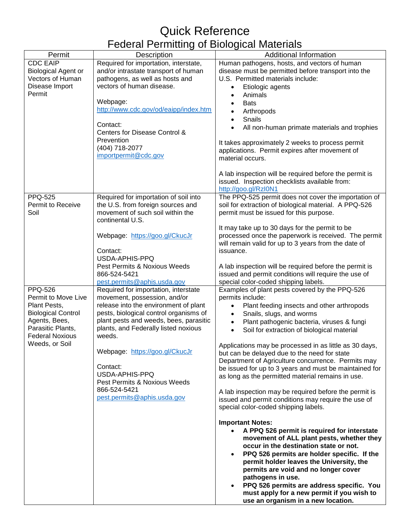## Quick Reference Federal Permitting of Biological Materials

| Permit                     | <b>Description</b>                     | - - - - ອ -<br><b>Additional Information</b>              |
|----------------------------|----------------------------------------|-----------------------------------------------------------|
| <b>CDC EAIP</b>            | Required for importation, interstate,  | Human pathogens, hosts, and vectors of human              |
|                            | and/or intrastate transport of human   | disease must be permitted before transport into the       |
| <b>Biological Agent or</b> |                                        |                                                           |
| Vectors of Human           | pathogens, as well as hosts and        | U.S. Permitted materials include:                         |
| Disease Import             | vectors of human disease.              | Etiologic agents<br>$\bullet$                             |
| Permit                     |                                        | Animals<br>$\bullet$                                      |
|                            | Webpage:                               | <b>Bats</b>                                               |
|                            | http://www.cdc.gov/od/eaipp/index.htm  | Arthropods<br>$\bullet$                                   |
|                            |                                        | Snails<br>$\bullet$                                       |
|                            | Contact:                               | All non-human primate materials and trophies<br>$\bullet$ |
|                            | Centers for Disease Control &          |                                                           |
|                            | Prevention                             | It takes approximately 2 weeks to process permit          |
|                            | (404) 718-2077                         | applications. Permit expires after movement of            |
|                            | importpermit@cdc.gov                   | material occurs.                                          |
|                            |                                        |                                                           |
|                            |                                        | A lab inspection will be required before the permit is    |
|                            |                                        | issued. Inspection checklists available from:             |
|                            |                                        | http://goo.gl/RzI0N1                                      |
| <b>PPQ-525</b>             | Required for importation of soil into  | The PPQ-525 permit does not cover the importation of      |
| Permit to Receive          | the U.S. from foreign sources and      | soil for extraction of biological material. A PPQ-526     |
| Soil                       | movement of such soil within the       | permit must be issued for this purpose.                   |
|                            | continental U.S.                       |                                                           |
|                            |                                        | It may take up to 30 days for the permit to be            |
|                            | Webpage: https://goo.gl/CkucJr         | processed once the paperwork is received. The permit      |
|                            |                                        | will remain valid for up to 3 years from the date of      |
|                            | Contact:                               | issuance.                                                 |
|                            | USDA-APHIS-PPQ                         |                                                           |
|                            | Pest Permits & Noxious Weeds           | A lab inspection will be required before the permit is    |
|                            | 866-524-5421                           | issued and permit conditions will require the use of      |
|                            |                                        |                                                           |
|                            | pest.permits@aphis.usda.gov            | special color-coded shipping labels.                      |
| <b>PPQ-526</b>             | Required for importation, interstate   | Examples of plant pests covered by the PPQ-526            |
| Permit to Move Live        | movement, possession, and/or           | permits include:                                          |
| Plant Pests,               | release into the environment of plant  | Plant feeding insects and other arthropods<br>$\bullet$   |
| <b>Biological Control</b>  | pests, biological control organisms of | Snails, slugs, and worms<br>$\bullet$                     |
| Agents, Bees,              | plant pests and weeds, bees, parasitic | Plant pathogenic bacteria, viruses & fungi<br>$\bullet$   |
| Parasitic Plants,          | plants, and Federally listed noxious   | Soil for extraction of biological material<br>$\bullet$   |
| <b>Federal Noxious</b>     | weeds.                                 |                                                           |
| Weeds, or Soil             |                                        | Applications may be processed in as little as 30 days,    |
|                            | Webpage: https://goo.gl/CkucJr         | but can be delayed due to the need for state              |
|                            |                                        | Department of Agriculture concurrence. Permits may        |
|                            | Contact:                               | be issued for up to 3 years and must be maintained for    |
|                            | USDA-APHIS-PPQ                         | as long as the permitted material remains in use.         |
|                            | Pest Permits & Noxious Weeds           |                                                           |
|                            | 866-524-5421                           | A lab inspection may be required before the permit is     |
|                            | pest.permits@aphis.usda.gov            | issued and permit conditions may require the use of       |
|                            |                                        | special color-coded shipping labels.                      |
|                            |                                        |                                                           |
|                            |                                        | <b>Important Notes:</b>                                   |
|                            |                                        | A PPQ 526 permit is required for interstate<br>$\bullet$  |
|                            |                                        | movement of ALL plant pests, whether they                 |
|                            |                                        | occur in the destination state or not.                    |
|                            |                                        | PPQ 526 permits are holder specific. If the               |
|                            |                                        | permit holder leaves the University, the                  |
|                            |                                        | permits are void and no longer cover                      |
|                            |                                        | pathogens in use.                                         |
|                            |                                        | PPQ 526 permits are address specific. You                 |
|                            |                                        | must apply for a new permit if you wish to                |
|                            |                                        | use an organism in a new location.                        |